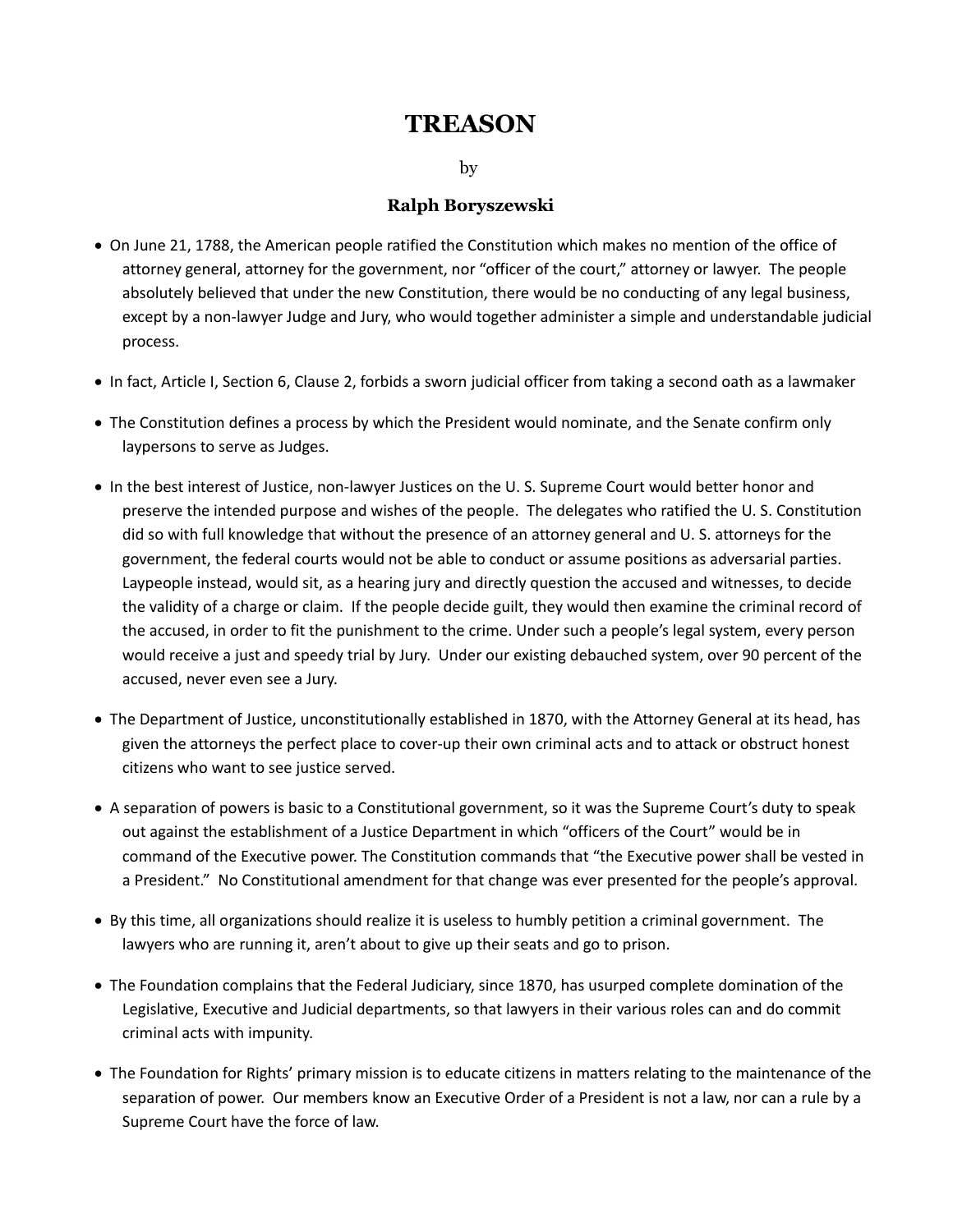## **TREASON**

by

## **Ralph Boryszewski**

- · On June 21, 1788, the American people ratified the Constitution which makes no mention of the office of attorney general, attorney for the government, nor "officer of the court," attorney or lawyer. The people absolutely believed that under the new Constitution, there would be no conducting of any legal business, except by a non-lawyer Judge and Jury, who would together administer a simple and understandable judicial process.
- · In fact, Article I, Section 6, Clause 2, forbids a sworn judicial officer from taking a second oath as a lawmaker
- · The Constitution defines a process by which the President would nominate, and the Senate confirm only laypersons to serve as Judges.
- · In the best interest of Justice, non-lawyer Justices on the U. S. Supreme Court would better honor and preserve the intended purpose and wishes of the people. The delegates who ratified the U. S. Constitution did so with full knowledge that without the presence of an attorney general and U. S. attorneys for the government, the federal courts would not be able to conduct or assume positions as adversarial parties. Laypeople instead, would sit, as a hearing jury and directly question the accused and witnesses, to decide the validity of a charge or claim. If the people decide guilt, they would then examine the criminal record of the accused, in order to fit the punishment to the crime. Under such a people's legal system, every person would receive a just and speedy trial by Jury. Under our existing debauched system, over 90 percent of the accused, never even see a Jury.
- · The Department of Justice, unconstitutionally established in 1870, with the Attorney General at its head, has given the attorneys the perfect place to cover-up their own criminal acts and to attack or obstruct honest citizens who want to see justice served.
- · A separation of powers is basic to a Constitutional government, so it was the Supreme Court's duty to speak out against the establishment of a Justice Department in which "officers of the Court" would be in command of the Executive power. The Constitution commands that "the Executive power shall be vested in a President." No Constitutional amendment for that change was ever presented for the people's approval.
- · By this time, all organizations should realize it is useless to humbly petition a criminal government. The lawyers who are running it, aren't about to give up their seats and go to prison.
- · The Foundation complains that the Federal Judiciary, since 1870, has usurped complete domination of the Legislative, Executive and Judicial departments, so that lawyers in their various roles can and do commit criminal acts with impunity.
- · The Foundation for Rights' primary mission is to educate citizens in matters relating to the maintenance of the separation of power. Our members know an Executive Order of a President is not a law, nor can a rule by a Supreme Court have the force of law.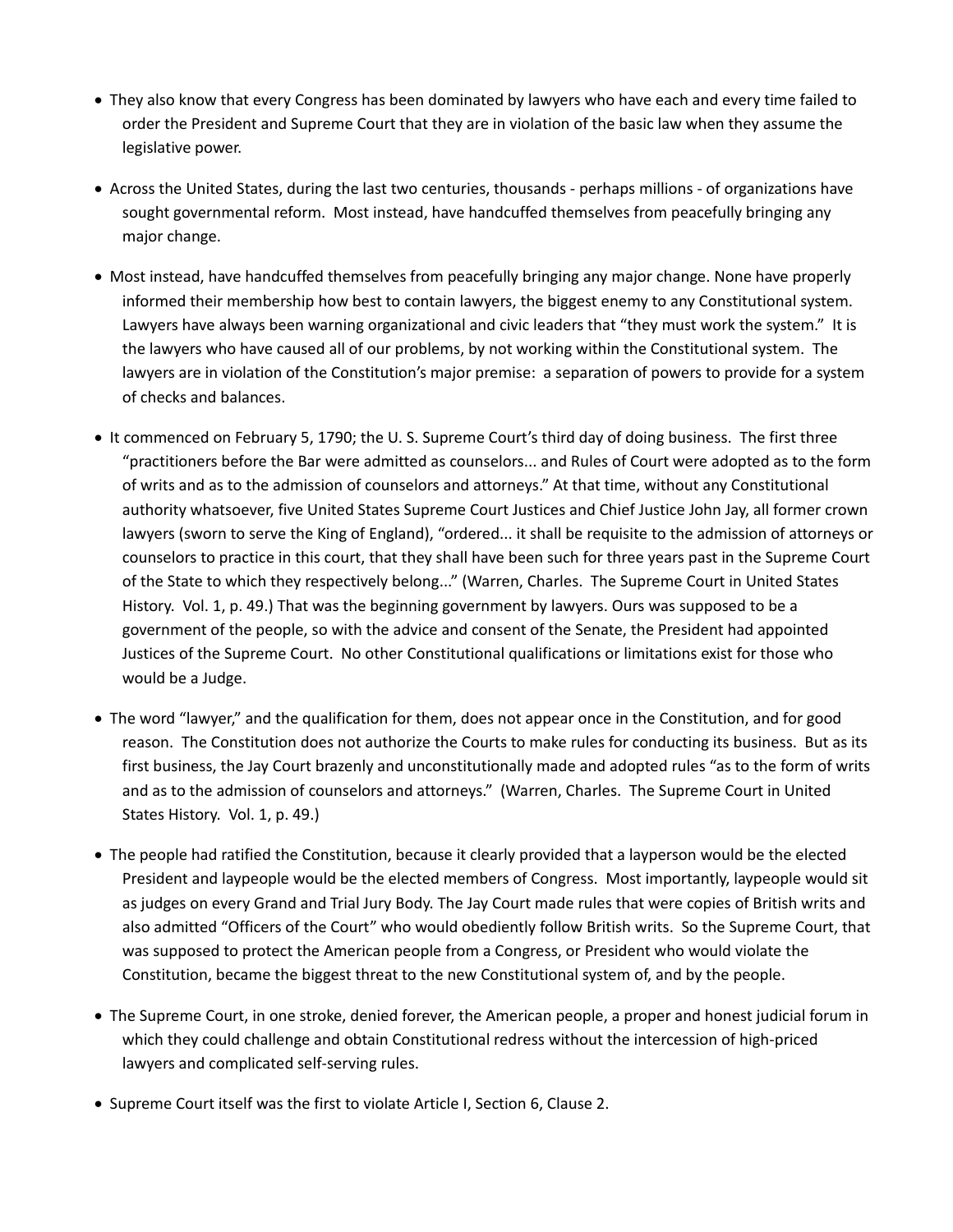- · They also know that every Congress has been dominated by lawyers who have each and every time failed to order the President and Supreme Court that they are in violation of the basic law when they assume the legislative power.
- · Across the United States, during the last two centuries, thousands perhaps millions of organizations have sought governmental reform. Most instead, have handcuffed themselves from peacefully bringing any major change.
- · Most instead, have handcuffed themselves from peacefully bringing any major change. None have properly informed their membership how best to contain lawyers, the biggest enemy to any Constitutional system. Lawyers have always been warning organizational and civic leaders that "they must work the system." It is the lawyers who have caused all of our problems, by not working within the Constitutional system. The lawyers are in violation of the Constitution's major premise: a separation of powers to provide for a system of checks and balances.
- · It commenced on February 5, 1790; the U. S. Supreme Court's third day of doing business. The first three "practitioners before the Bar were admitted as counselors... and Rules of Court were adopted as to the form of writs and as to the admission of counselors and attorneys." At that time, without any Constitutional authority whatsoever, five United States Supreme Court Justices and Chief Justice John Jay, all former crown lawyers (sworn to serve the King of England), "ordered... it shall be requisite to the admission of attorneys or counselors to practice in this court, that they shall have been such for three years past in the Supreme Court of the State to which they respectively belong..." (Warren, Charles. The Supreme Court in United States History. Vol. 1, p. 49.) That was the beginning government by lawyers. Ours was supposed to be a government of the people, so with the advice and consent of the Senate, the President had appointed Justices of the Supreme Court. No other Constitutional qualifications or limitations exist for those who would be a Judge.
- · The word "lawyer," and the qualification for them, does not appear once in the Constitution, and for good reason. The Constitution does not authorize the Courts to make rules for conducting its business. But as its first business, the Jay Court brazenly and unconstitutionally made and adopted rules "as to the form of writs and as to the admission of counselors and attorneys." (Warren, Charles. The Supreme Court in United States History. Vol. 1, p. 49.)
- · The people had ratified the Constitution, because it clearly provided that a layperson would be the elected President and laypeople would be the elected members of Congress. Most importantly, laypeople would sit as judges on every Grand and Trial Jury Body. The Jay Court made rules that were copies of British writs and also admitted "Officers of the Court" who would obediently follow British writs. So the Supreme Court, that was supposed to protect the American people from a Congress, or President who would violate the Constitution, became the biggest threat to the new Constitutional system of, and by the people.
- · The Supreme Court, in one stroke, denied forever, the American people, a proper and honest judicial forum in which they could challenge and obtain Constitutional redress without the intercession of high-priced lawyers and complicated self-serving rules.
- · Supreme Court itself was the first to violate Article I, Section 6, Clause 2.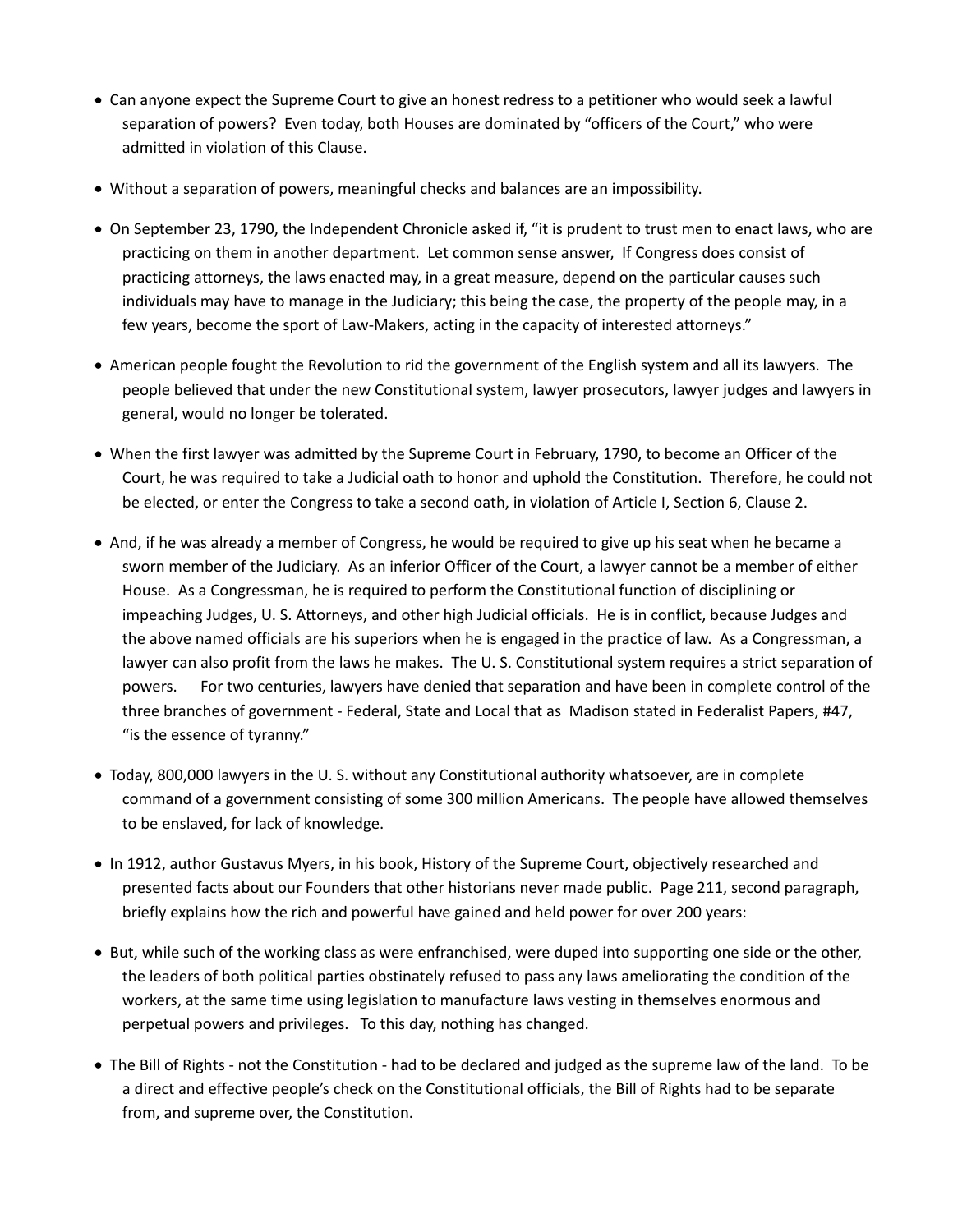- · Can anyone expect the Supreme Court to give an honest redress to a petitioner who would seek a lawful separation of powers? Even today, both Houses are dominated by "officers of the Court," who were admitted in violation of this Clause.
- · Without a separation of powers, meaningful checks and balances are an impossibility.
- · On September 23, 1790, the Independent Chronicle asked if, "it is prudent to trust men to enact laws, who are practicing on them in another department. Let common sense answer, If Congress does consist of practicing attorneys, the laws enacted may, in a great measure, depend on the particular causes such individuals may have to manage in the Judiciary; this being the case, the property of the people may, in a few years, become the sport of Law-Makers, acting in the capacity of interested attorneys."
- · American people fought the Revolution to rid the government of the English system and all its lawyers. The people believed that under the new Constitutional system, lawyer prosecutors, lawyer judges and lawyers in general, would no longer be tolerated.
- · When the first lawyer was admitted by the Supreme Court in February, 1790, to become an Officer of the Court, he was required to take a Judicial oath to honor and uphold the Constitution. Therefore, he could not be elected, or enter the Congress to take a second oath, in violation of Article I, Section 6, Clause 2.
- · And, if he was already a member of Congress, he would be required to give up his seat when he became a sworn member of the Judiciary. As an inferior Officer of the Court, a lawyer cannot be a member of either House. As a Congressman, he is required to perform the Constitutional function of disciplining or impeaching Judges, U. S. Attorneys, and other high Judicial officials. He is in conflict, because Judges and the above named officials are his superiors when he is engaged in the practice of law. As a Congressman, a lawyer can also profit from the laws he makes. The U. S. Constitutional system requires a strict separation of powers. For two centuries, lawyers have denied that separation and have been in complete control of the three branches of government - Federal, State and Local that as Madison stated in Federalist Papers, #47, "is the essence of tyranny."
- · Today, 800,000 lawyers in the U. S. without any Constitutional authority whatsoever, are in complete command of a government consisting of some 300 million Americans. The people have allowed themselves to be enslaved, for lack of knowledge.
- · In 1912, author Gustavus Myers, in his book, History of the Supreme Court, objectively researched and presented facts about our Founders that other historians never made public. Page 211, second paragraph, briefly explains how the rich and powerful have gained and held power for over 200 years:
- · But, while such of the working class as were enfranchised, were duped into supporting one side or the other, the leaders of both political parties obstinately refused to pass any laws ameliorating the condition of the workers, at the same time using legislation to manufacture laws vesting in themselves enormous and perpetual powers and privileges. To this day, nothing has changed.
- · The Bill of Rights not the Constitution had to be declared and judged as the supreme law of the land. To be a direct and effective people's check on the Constitutional officials, the Bill of Rights had to be separate from, and supreme over, the Constitution.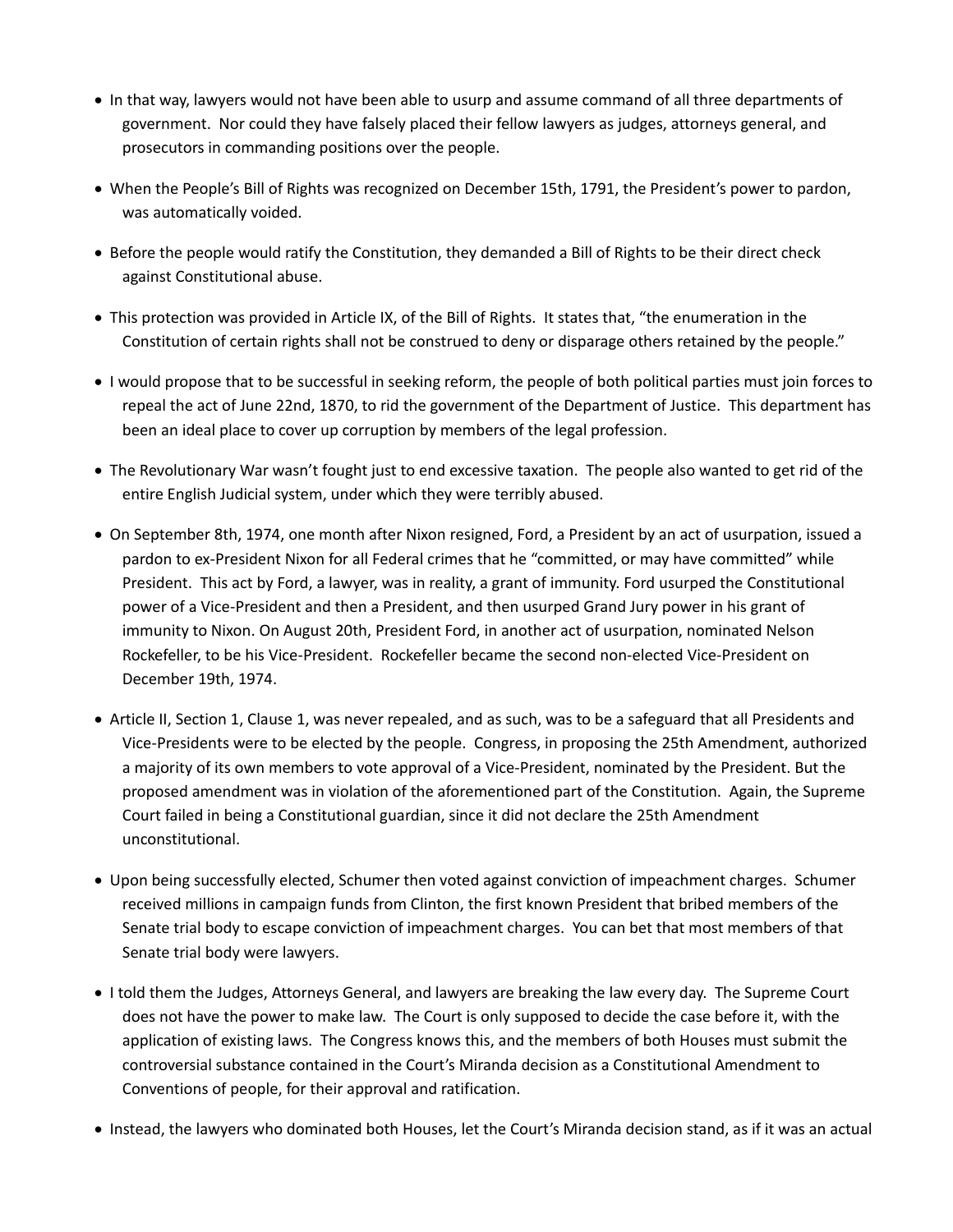- · In that way, lawyers would not have been able to usurp and assume command of all three departments of government. Nor could they have falsely placed their fellow lawyers as judges, attorneys general, and prosecutors in commanding positions over the people.
- · When the People's Bill of Rights was recognized on December 15th, 1791, the President's power to pardon, was automatically voided.
- · Before the people would ratify the Constitution, they demanded a Bill of Rights to be their direct check against Constitutional abuse.
- · This protection was provided in Article IX, of the Bill of Rights. It states that, "the enumeration in the Constitution of certain rights shall not be construed to deny or disparage others retained by the people."
- · I would propose that to be successful in seeking reform, the people of both political parties must join forces to repeal the act of June 22nd, 1870, to rid the government of the Department of Justice. This department has been an ideal place to cover up corruption by members of the legal profession.
- · The Revolutionary War wasn't fought just to end excessive taxation. The people also wanted to get rid of the entire English Judicial system, under which they were terribly abused.
- · On September 8th, 1974, one month after Nixon resigned, Ford, a President by an act of usurpation, issued a pardon to ex-President Nixon for all Federal crimes that he "committed, or may have committed" while President. This act by Ford, a lawyer, was in reality, a grant of immunity. Ford usurped the Constitutional power of a Vice-President and then a President, and then usurped Grand Jury power in his grant of immunity to Nixon. On August 20th, President Ford, in another act of usurpation, nominated Nelson Rockefeller, to be his Vice-President. Rockefeller became the second non-elected Vice-President on December 19th, 1974.
- · Article II, Section 1, Clause 1, was never repealed, and as such, was to be a safeguard that all Presidents and Vice-Presidents were to be elected by the people. Congress, in proposing the 25th Amendment, authorized a majority of its own members to vote approval of a Vice-President, nominated by the President. But the proposed amendment was in violation of the aforementioned part of the Constitution. Again, the Supreme Court failed in being a Constitutional guardian, since it did not declare the 25th Amendment unconstitutional.
- · Upon being successfully elected, Schumer then voted against conviction of impeachment charges. Schumer received millions in campaign funds from Clinton, the first known President that bribed members of the Senate trial body to escape conviction of impeachment charges. You can bet that most members of that Senate trial body were lawyers.
- · I told them the Judges, Attorneys General, and lawyers are breaking the law every day. The Supreme Court does not have the power to make law. The Court is only supposed to decide the case before it, with the application of existing laws. The Congress knows this, and the members of both Houses must submit the controversial substance contained in the Court's Miranda decision as a Constitutional Amendment to Conventions of people, for their approval and ratification.
- · Instead, the lawyers who dominated both Houses, let the Court's Miranda decision stand, as if it was an actual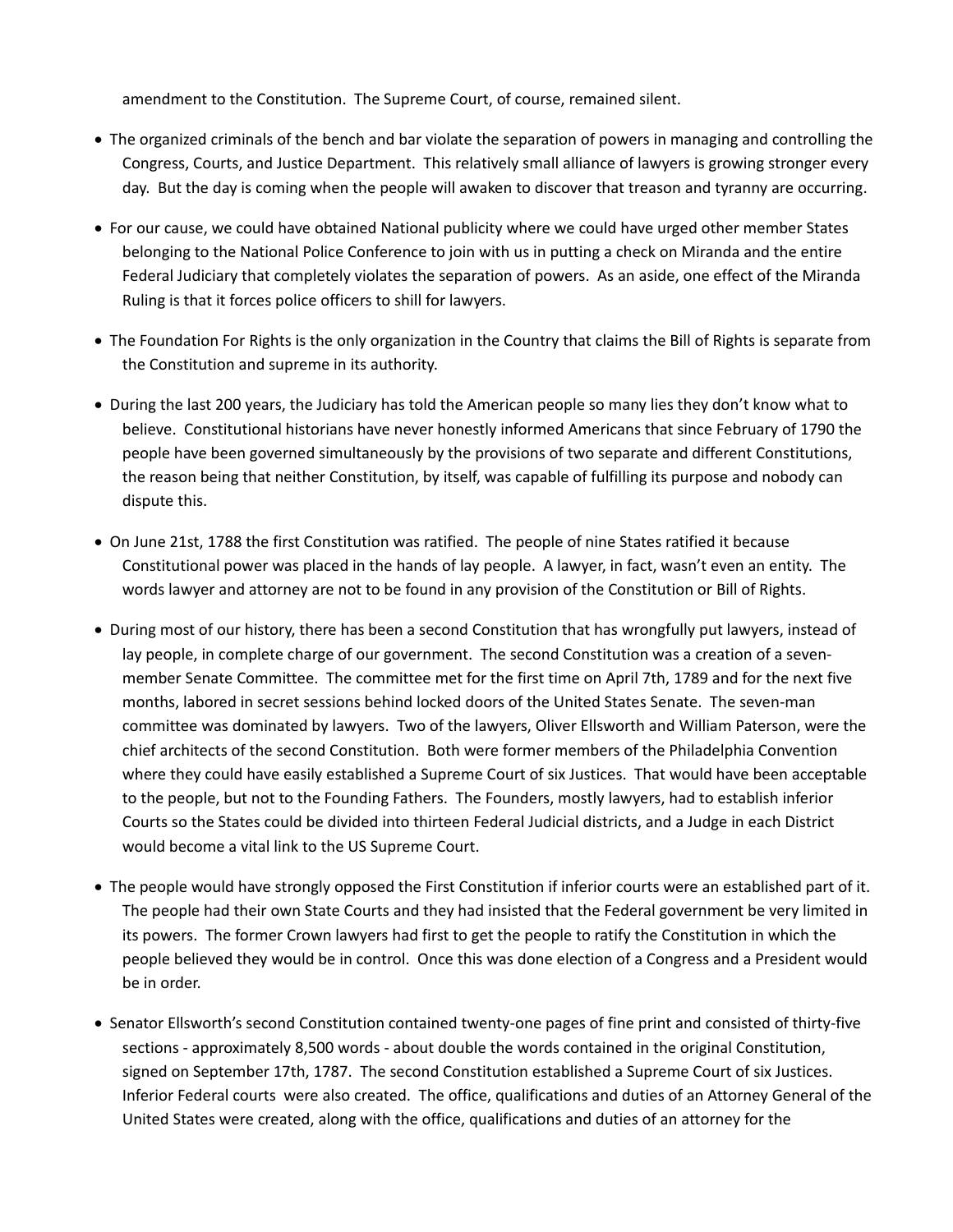amendment to the Constitution. The Supreme Court, of course, remained silent.

- · The organized criminals of the bench and bar violate the separation of powers in managing and controlling the Congress, Courts, and Justice Department. This relatively small alliance of lawyers is growing stronger every day. But the day is coming when the people will awaken to discover that treason and tyranny are occurring.
- · For our cause, we could have obtained National publicity where we could have urged other member States belonging to the National Police Conference to join with us in putting a check on Miranda and the entire Federal Judiciary that completely violates the separation of powers. As an aside, one effect of the Miranda Ruling is that it forces police officers to shill for lawyers.
- · The Foundation For Rights is the only organization in the Country that claims the Bill of Rights is separate from the Constitution and supreme in its authority.
- · During the last 200 years, the Judiciary has told the American people so many lies they don't know what to believe. Constitutional historians have never honestly informed Americans that since February of 1790 the people have been governed simultaneously by the provisions of two separate and different Constitutions, the reason being that neither Constitution, by itself, was capable of fulfilling its purpose and nobody can dispute this.
- · On June 21st, 1788 the first Constitution was ratified. The people of nine States ratified it because Constitutional power was placed in the hands of lay people. A lawyer, in fact, wasn't even an entity. The words lawyer and attorney are not to be found in any provision of the Constitution or Bill of Rights.
- · During most of our history, there has been a second Constitution that has wrongfully put lawyers, instead of lay people, in complete charge of our government. The second Constitution was a creation of a sevenmember Senate Committee. The committee met for the first time on April 7th, 1789 and for the next five months, labored in secret sessions behind locked doors of the United States Senate. The seven-man committee was dominated by lawyers. Two of the lawyers, Oliver Ellsworth and William Paterson, were the chief architects of the second Constitution. Both were former members of the Philadelphia Convention where they could have easily established a Supreme Court of six Justices. That would have been acceptable to the people, but not to the Founding Fathers. The Founders, mostly lawyers, had to establish inferior Courts so the States could be divided into thirteen Federal Judicial districts, and a Judge in each District would become a vital link to the US Supreme Court.
- · The people would have strongly opposed the First Constitution if inferior courts were an established part of it. The people had their own State Courts and they had insisted that the Federal government be very limited in its powers. The former Crown lawyers had first to get the people to ratify the Constitution in which the people believed they would be in control. Once this was done election of a Congress and a President would be in order.
- · Senator Ellsworth's second Constitution contained twenty-one pages of fine print and consisted of thirty-five sections - approximately 8,500 words - about double the words contained in the original Constitution, signed on September 17th, 1787. The second Constitution established a Supreme Court of six Justices. Inferior Federal courts were also created. The office, qualifications and duties of an Attorney General of the United States were created, along with the office, qualifications and duties of an attorney for the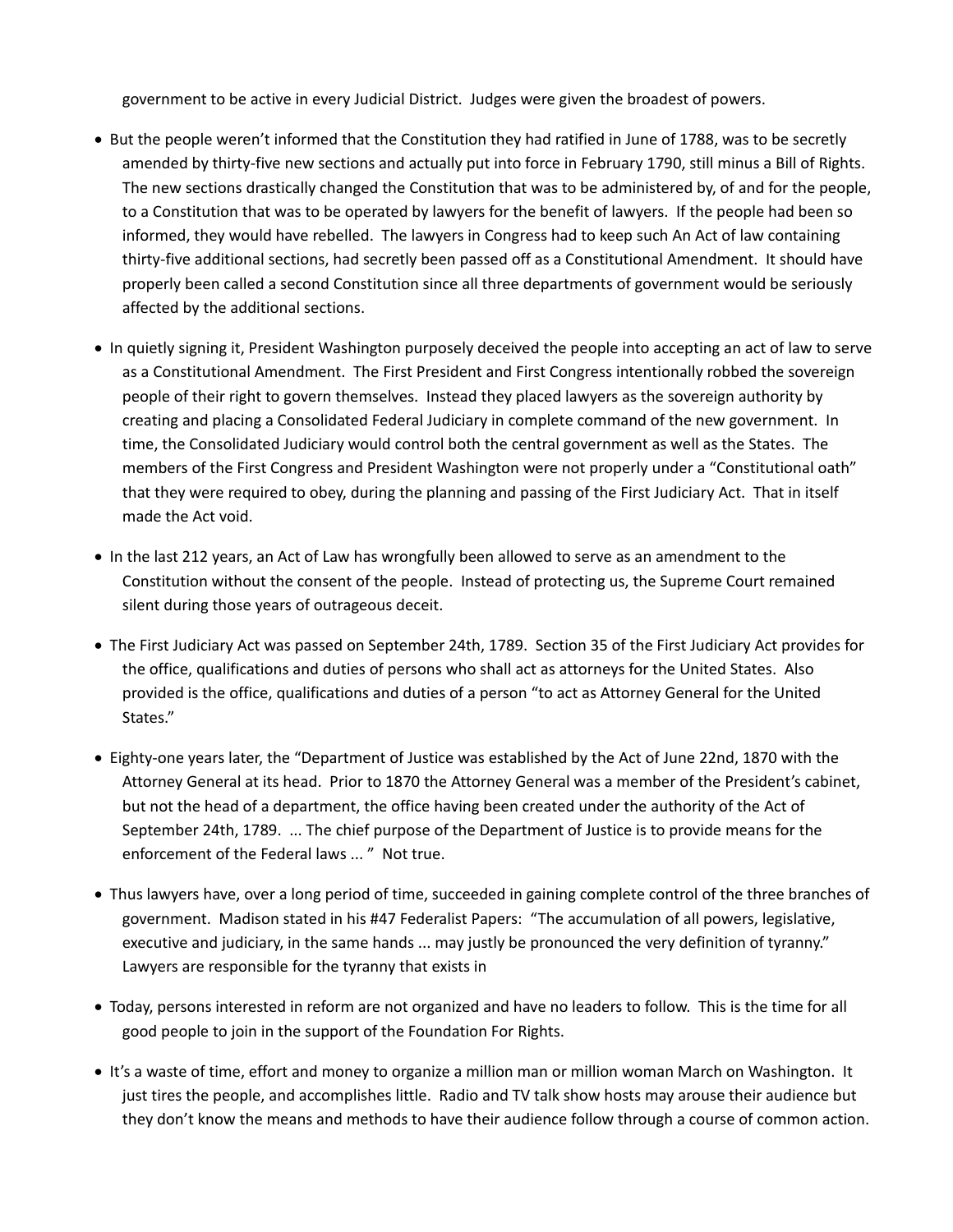government to be active in every Judicial District. Judges were given the broadest of powers.

- · But the people weren't informed that the Constitution they had ratified in June of 1788, was to be secretly amended by thirty-five new sections and actually put into force in February 1790, still minus a Bill of Rights. The new sections drastically changed the Constitution that was to be administered by, of and for the people, to a Constitution that was to be operated by lawyers for the benefit of lawyers. If the people had been so informed, they would have rebelled. The lawyers in Congress had to keep such An Act of law containing thirty-five additional sections, had secretly been passed off as a Constitutional Amendment. It should have properly been called a second Constitution since all three departments of government would be seriously affected by the additional sections.
- · In quietly signing it, President Washington purposely deceived the people into accepting an act of law to serve as a Constitutional Amendment. The First President and First Congress intentionally robbed the sovereign people of their right to govern themselves. Instead they placed lawyers as the sovereign authority by creating and placing a Consolidated Federal Judiciary in complete command of the new government. In time, the Consolidated Judiciary would control both the central government as well as the States. The members of the First Congress and President Washington were not properly under a "Constitutional oath" that they were required to obey, during the planning and passing of the First Judiciary Act. That in itself made the Act void.
- · In the last 212 years, an Act of Law has wrongfully been allowed to serve as an amendment to the Constitution without the consent of the people. Instead of protecting us, the Supreme Court remained silent during those years of outrageous deceit.
- · The First Judiciary Act was passed on September 24th, 1789. Section 35 of the First Judiciary Act provides for the office, qualifications and duties of persons who shall act as attorneys for the United States. Also provided is the office, qualifications and duties of a person "to act as Attorney General for the United States."
- · Eighty-one years later, the "Department of Justice was established by the Act of June 22nd, 1870 with the Attorney General at its head. Prior to 1870 the Attorney General was a member of the President's cabinet, but not the head of a department, the office having been created under the authority of the Act of September 24th, 1789. ... The chief purpose of the Department of Justice is to provide means for the enforcement of the Federal laws ... " Not true.
- · Thus lawyers have, over a long period of time, succeeded in gaining complete control of the three branches of government. Madison stated in his #47 Federalist Papers: "The accumulation of all powers, legislative, executive and judiciary, in the same hands ... may justly be pronounced the very definition of tyranny." Lawyers are responsible for the tyranny that exists in
- · Today, persons interested in reform are not organized and have no leaders to follow. This is the time for all good people to join in the support of the Foundation For Rights.
- · It's a waste of time, effort and money to organize a million man or million woman March on Washington. It just tires the people, and accomplishes little. Radio and TV talk show hosts may arouse their audience but they don't know the means and methods to have their audience follow through a course of common action.